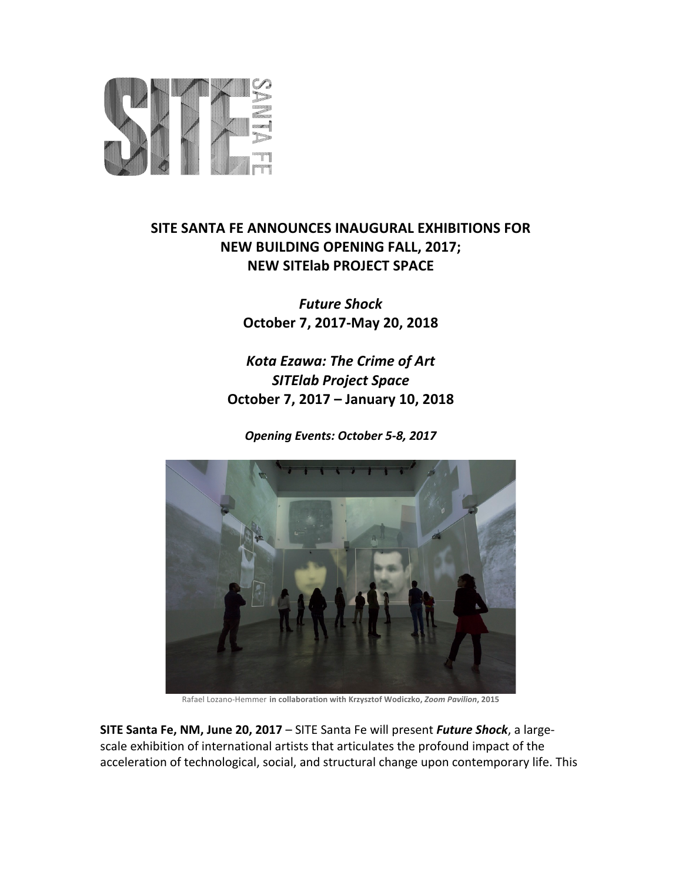

# **SITE SANTA FE ANNOUNCES INAUGURAL EXHIBITIONS FOR NEW BUILDING OPENING FALL, 2017; NEW SITElab PROJECT SPACE**

*Future Shock* **October 7, 2017-May 20, 2018**

**Kota Ezawa: The Crime of Art** *SITElab Project Space* **October 7, 2017 – January 10, 2018**

*Opening Events: October 5-8, 2017*



Rafael Lozano-Hemmer in collaboration with Krzysztof Wodiczko, *Zoom Pavilion*, 2015

**SITE Santa Fe, NM, June 20, 2017** – SITE Santa Fe will present *Future Shock*, a largescale exhibition of international artists that articulates the profound impact of the acceleration of technological, social, and structural change upon contemporary life. This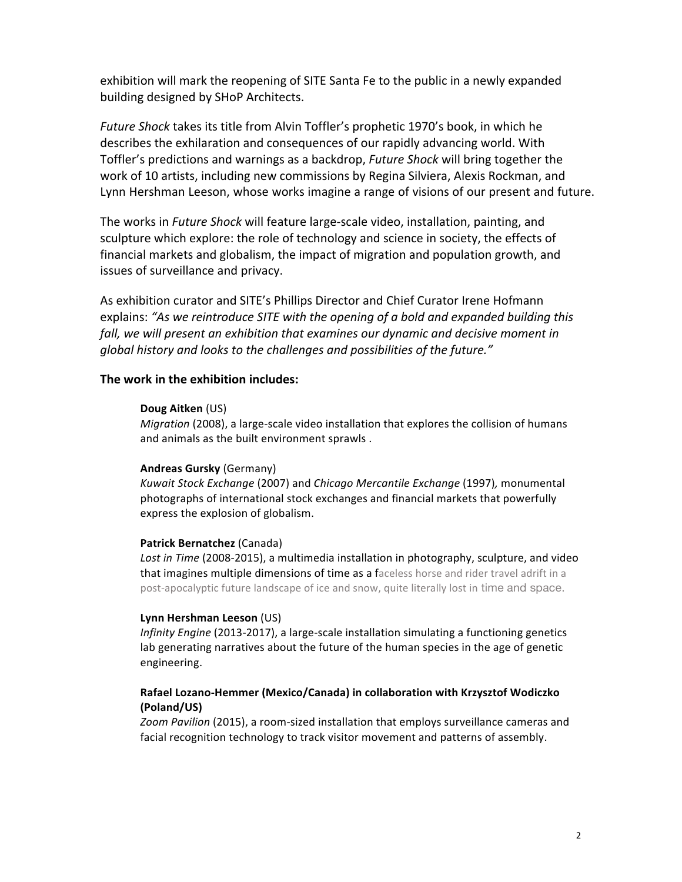exhibition will mark the reopening of SITE Santa Fe to the public in a newly expanded building designed by SHoP Architects.

*Future Shock* takes its title from Alvin Toffler's prophetic 1970's book, in which he describes the exhilaration and consequences of our rapidly advancing world. With Toffler's predictions and warnings as a backdrop, *Future Shock* will bring together the work of 10 artists, including new commissions by Regina Silviera, Alexis Rockman, and Lynn Hershman Leeson, whose works imagine a range of visions of our present and future.

The works in *Future Shock* will feature large-scale video, installation, painting, and sculpture which explore: the role of technology and science in society, the effects of financial markets and globalism, the impact of migration and population growth, and issues of surveillance and privacy.

As exhibition curator and SITE's Phillips Director and Chief Curator Irene Hofmann explains: "As we reintroduce SITE with the opening of a bold and expanded building this fall, we will present an exhibition that examines our dynamic and decisive moment in *global history and looks to the challenges and possibilities of the future."*

#### **The work in the exhibition includes:**

#### **Doug Aitken** (US)

*Migration* (2008), a large-scale video installation that explores the collision of humans and animals as the built environment sprawls.

#### **Andreas Gursky** (Germany)

*Kuwait Stock Exchange* (2007) and *Chicago Mercantile Exchange* (1997), monumental photographs of international stock exchanges and financial markets that powerfully express the explosion of globalism.

#### **Patrick Bernatchez** (Canada)

Lost in Time (2008-2015), a multimedia installation in photography, sculpture, and video that imagines multiple dimensions of time as a faceless horse and rider travel adrift in a post-apocalyptic future landscape of ice and snow, quite literally lost in time and space.

#### **Lynn Hershman Leeson** (US)

*Infinity Engine* (2013-2017), a large-scale installation simulating a functioning genetics lab generating narratives about the future of the human species in the age of genetic engineering.

### Rafael Lozano-Hemmer (Mexico/Canada) in collaboration with Krzysztof Wodiczko **(Poland/US)**

Zoom Pavilion (2015), a room-sized installation that employs surveillance cameras and facial recognition technology to track visitor movement and patterns of assembly.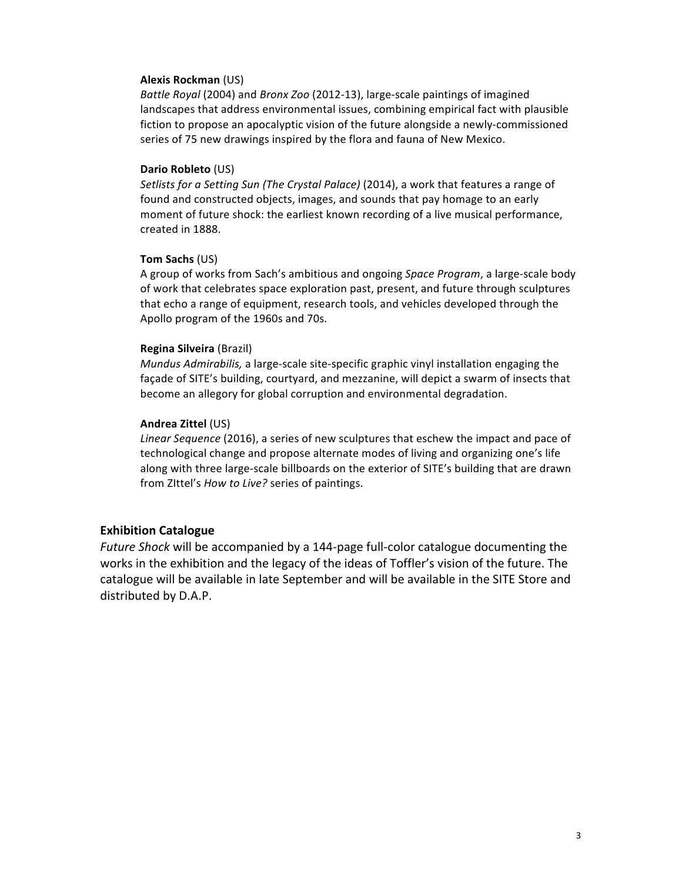#### **Alexis Rockman** (US)

*Battle Royal* (2004) and *Bronx Zoo* (2012-13), large-scale paintings of imagined landscapes that address environmental issues, combining empirical fact with plausible fiction to propose an apocalyptic vision of the future alongside a newly-commissioned series of 75 new drawings inspired by the flora and fauna of New Mexico.

#### **Dario Robleto** (US)

Setlists for a Setting Sun (The Crystal Palace) (2014), a work that features a range of found and constructed objects, images, and sounds that pay homage to an early moment of future shock: the earliest known recording of a live musical performance, created in 1888.

#### **Tom Sachs** (US)

A group of works from Sach's ambitious and ongoing *Space Program*, a large-scale body of work that celebrates space exploration past, present, and future through sculptures that echo a range of equipment, research tools, and vehicles developed through the Apollo program of the 1960s and 70s.

#### **Regina Silveira** (Brazil)

*Mundus Admirabilis*, a large-scale site-specific graphic vinyl installation engaging the façade of SITE's building, courtyard, and mezzanine, will depict a swarm of insects that become an allegory for global corruption and environmental degradation.

#### **Andrea Zittel** (US)

Linear Sequence (2016), a series of new sculptures that eschew the impact and pace of technological change and propose alternate modes of living and organizing one's life along with three large-scale billboards on the exterior of SITE's building that are drawn from ZIttel's *How to Live?* series of paintings.

## **Exhibition Catalogue**

*Future Shock* will be accompanied by a 144-page full-color catalogue documenting the works in the exhibition and the legacy of the ideas of Toffler's vision of the future. The catalogue will be available in late September and will be available in the SITE Store and distributed by D.A.P.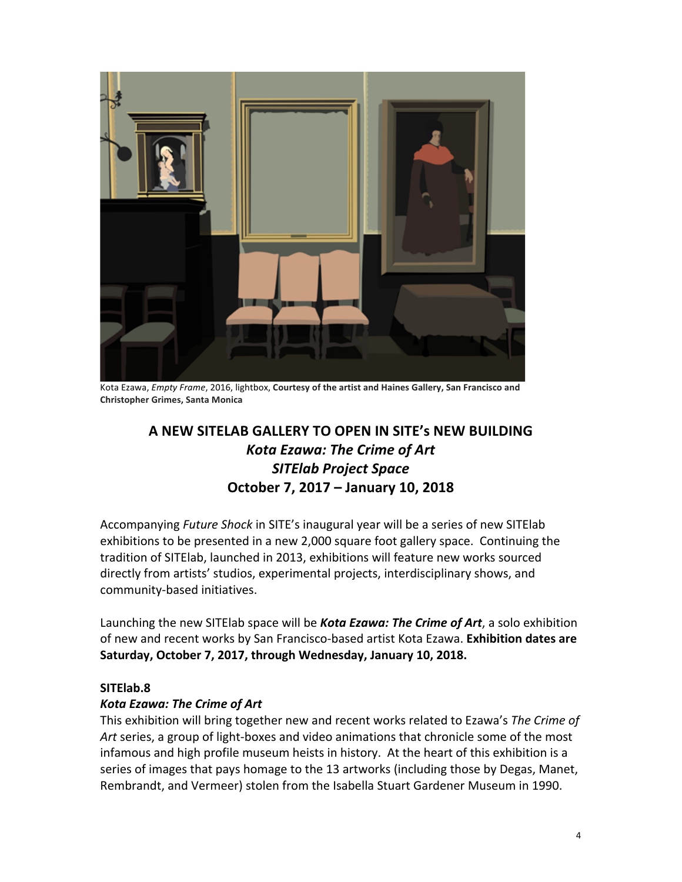

Kota Ezawa, *Empty Frame*, 2016, lightbox, Courtesy of the artist and Haines Gallery, San Francisco and **Christopher Grimes, Santa Monica**

# **A NEW SITELAB GALLERY TO OPEN IN SITE's NEW BUILDING** *Kota Ezawa: The Crime of Art SITElab Project Space* **October 7, 2017 – January 10, 2018**

Accompanying *Future Shock* in SITE's inaugural year will be a series of new SITElab exhibitions to be presented in a new 2,000 square foot gallery space. Continuing the tradition of SITElab, launched in 2013, exhibitions will feature new works sourced directly from artists' studios, experimental projects, interdisciplinary shows, and community-based initiatives.

Launching the new SITElab space will be **Kota Ezawa: The Crime of Art**, a solo exhibition of new and recent works by San Francisco-based artist Kota Ezawa. Exhibition dates are **Saturday, October 7, 2017, through Wednesday, January 10, 2018.**

# **SITElab.8**

# *Kota Ezawa: The Crime of Art*

This exhibition will bring together new and recent works related to Ezawa's *The Crime of* Art series, a group of light-boxes and video animations that chronicle some of the most infamous and high profile museum heists in history. At the heart of this exhibition is a series of images that pays homage to the 13 artworks (including those by Degas, Manet, Rembrandt, and Vermeer) stolen from the Isabella Stuart Gardener Museum in 1990.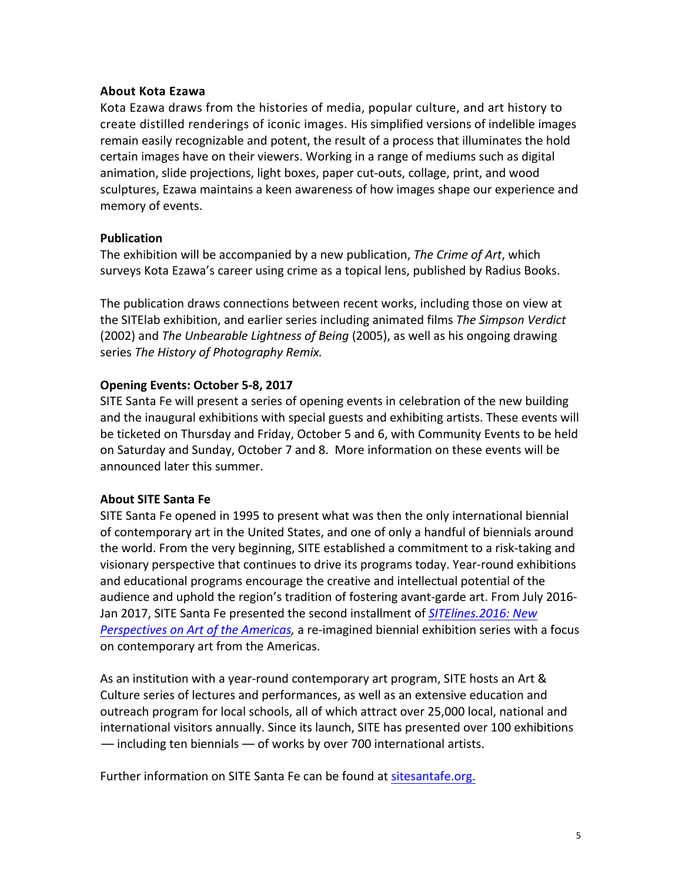# **About Kota Ezawa**

Kota Ezawa draws from the histories of media, popular culture, and art history to create distilled renderings of iconic images. His simplified versions of indelible images remain easily recognizable and potent, the result of a process that illuminates the hold certain images have on their viewers. Working in a range of mediums such as digital animation, slide projections, light boxes, paper cut-outs, collage, print, and wood sculptures, Ezawa maintains a keen awareness of how images shape our experience and memory of events.

# **Publication**

The exhibition will be accompanied by a new publication, *The Crime of Art*, which surveys Kota Ezawa's career using crime as a topical lens, published by Radius Books.

The publication draws connections between recent works, including those on view at the SITElab exhibition, and earlier series including animated films The Simpson Verdict (2002) and *The Unbearable Lightness of Being* (2005), as well as his ongoing drawing series The History of Photography Remix.

# **Opening Events: October 5-8, 2017**

SITE Santa Fe will present a series of opening events in celebration of the new building and the inaugural exhibitions with special guests and exhibiting artists. These events will be ticketed on Thursday and Friday, October 5 and 6, with Community Events to be held on Saturday and Sunday, October 7 and 8. More information on these events will be announced later this summer.

## **About SITE Santa Fe**

SITE Santa Fe opened in 1995 to present what was then the only international biennial of contemporary art in the United States, and one of only a handful of biennials around the world. From the very beginning, SITE established a commitment to a risk-taking and visionary perspective that continues to drive its programs today. Year-round exhibitions and educational programs encourage the creative and intellectual potential of the audience and uphold the region's tradition of fostering avant-garde art. From July 2016-Jan 2017, SITE Santa Fe presented the second installment of *SITElines.2016:* New *Perspectives on Art of the Americas,* a re-imagined biennial exhibition series with a focus on contemporary art from the Americas.

As an institution with a year-round contemporary art program, SITE hosts an Art & Culture series of lectures and performances, as well as an extensive education and outreach program for local schools, all of which attract over 25,000 local, national and international visitors annually. Since its launch, SITE has presented over 100 exhibitions  $-$  including ten biennials  $-$  of works by over 700 international artists.

Further information on SITE Santa Fe can be found at sitesantafe.org.